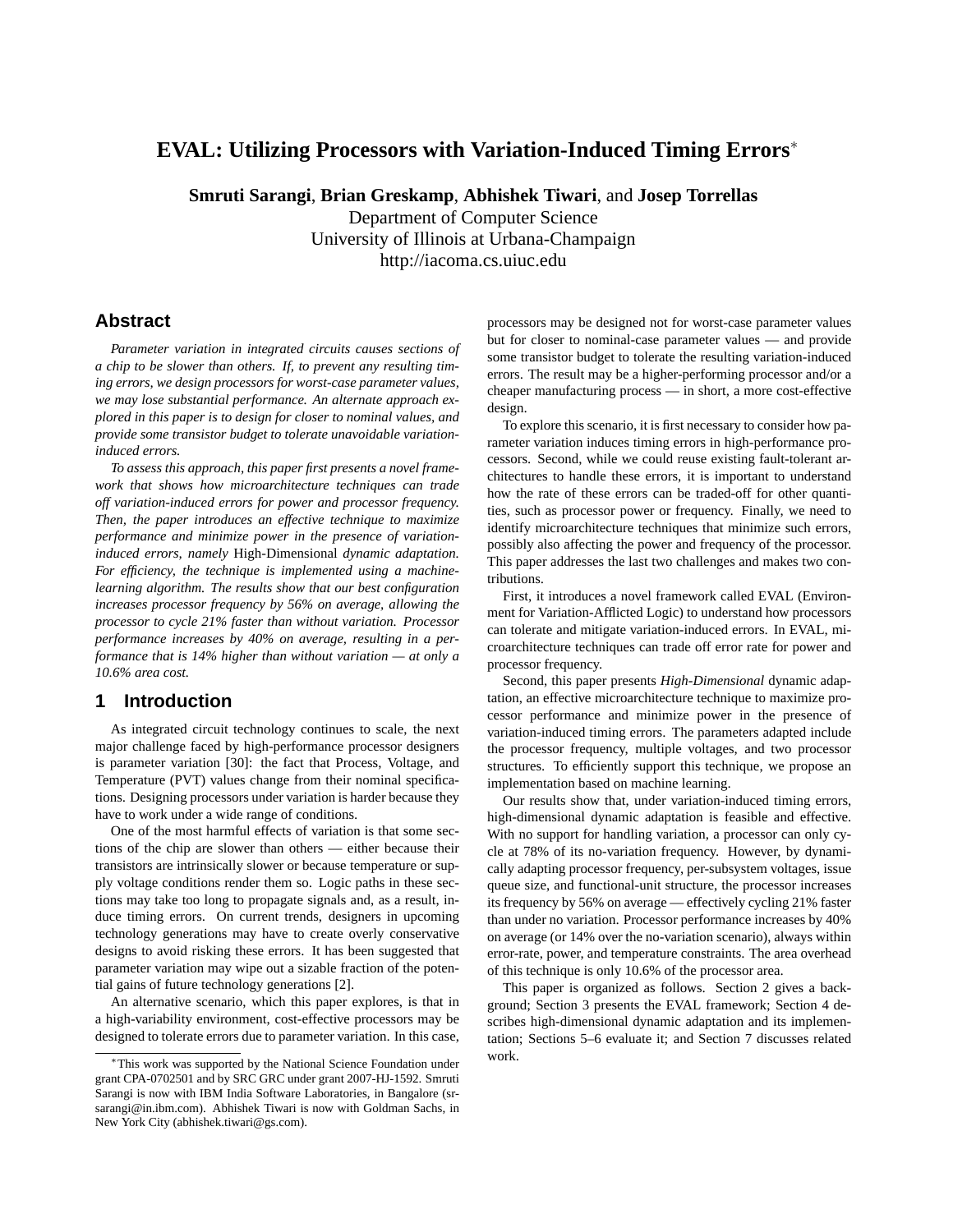# **EVAL: Utilizing Processors with Variation-Induced Timing Errors**<sup>∗</sup>

**Smruti Sarangi**, **Brian Greskamp**, **Abhishek Tiwari**, and **Josep Torrellas**

Department of Computer Science University of Illinois at Urbana-Champaign http://iacoma.cs.uiuc.edu

## **Abstract**

*Parameter variation in integrated circuits causes sections of a chip to be slower than others. If, to prevent any resulting timing errors, we design processors for worst-case parameter values, we may lose substantial performance. An alternate approach explored in this paper is to design for closer to nominal values, and provide some transistor budget to tolerate unavoidable variationinduced errors.*

*To assess this approach, this paper first presents a novel framework that shows how microarchitecture techniques can trade off variation-induced errors for power and processor frequency. Then, the paper introduces an effective technique to maximize performance and minimize power in the presence of variationinduced errors, namely* High-Dimensional *dynamic adaptation. For efficiency, the technique is implemented using a machinelearning algorithm. The results show that our best configuration increases processor frequency by 56% on average, allowing the processor to cycle 21% faster than without variation. Processor performance increases by 40% on average, resulting in a performance that is 14% higher than without variation — at only a 10.6% area cost.*

# **1 Introduction**

As integrated circuit technology continues to scale, the next major challenge faced by high-performance processor designers is parameter variation [30]: the fact that Process, Voltage, and Temperature (PVT) values change from their nominal specifications. Designing processors under variation is harder because they have to work under a wide range of conditions.

One of the most harmful effects of variation is that some sections of the chip are slower than others — either because their transistors are intrinsically slower or because temperature or supply voltage conditions render them so. Logic paths in these sections may take too long to propagate signals and, as a result, induce timing errors. On current trends, designers in upcoming technology generations may have to create overly conservative designs to avoid risking these errors. It has been suggested that parameter variation may wipe out a sizable fraction of the potential gains of future technology generations [2].

An alternative scenario, which this paper explores, is that in a high-variability environment, cost-effective processors may be designed to tolerate errors due to parameter variation. In this case, processors may be designed not for worst-case parameter values but for closer to nominal-case parameter values — and provide some transistor budget to tolerate the resulting variation-induced errors. The result may be a higher-performing processor and/or a cheaper manufacturing process — in short, a more cost-effective design.

To explore this scenario, it is first necessary to consider how parameter variation induces timing errors in high-performance processors. Second, while we could reuse existing fault-tolerant architectures to handle these errors, it is important to understand how the rate of these errors can be traded-off for other quantities, such as processor power or frequency. Finally, we need to identify microarchitecture techniques that minimize such errors, possibly also affecting the power and frequency of the processor. This paper addresses the last two challenges and makes two contributions.

First, it introduces a novel framework called EVAL (Environment for Variation-Afflicted Logic) to understand how processors can tolerate and mitigate variation-induced errors. In EVAL, microarchitecture techniques can trade off error rate for power and processor frequency.

Second, this paper presents *High-Dimensional* dynamic adaptation, an effective microarchitecture technique to maximize processor performance and minimize power in the presence of variation-induced timing errors. The parameters adapted include the processor frequency, multiple voltages, and two processor structures. To efficiently support this technique, we propose an implementation based on machine learning.

Our results show that, under variation-induced timing errors, high-dimensional dynamic adaptation is feasible and effective. With no support for handling variation, a processor can only cycle at 78% of its no-variation frequency. However, by dynamically adapting processor frequency, per-subsystem voltages, issue queue size, and functional-unit structure, the processor increases its frequency by 56% on average — effectively cycling 21% faster than under no variation. Processor performance increases by 40% on average (or 14% over the no-variation scenario), always within error-rate, power, and temperature constraints. The area overhead of this technique is only 10.6% of the processor area.

This paper is organized as follows. Section 2 gives a background; Section 3 presents the EVAL framework; Section 4 describes high-dimensional dynamic adaptation and its implementation; Sections 5–6 evaluate it; and Section 7 discusses related work.

<sup>∗</sup>This work was supported by the National Science Foundation under grant CPA-0702501 and by SRC GRC under grant 2007-HJ-1592. Smruti Sarangi is now with IBM India Software Laboratories, in Bangalore (srsarangi@in.ibm.com). Abhishek Tiwari is now with Goldman Sachs, in New York City (abhishek.tiwari@gs.com).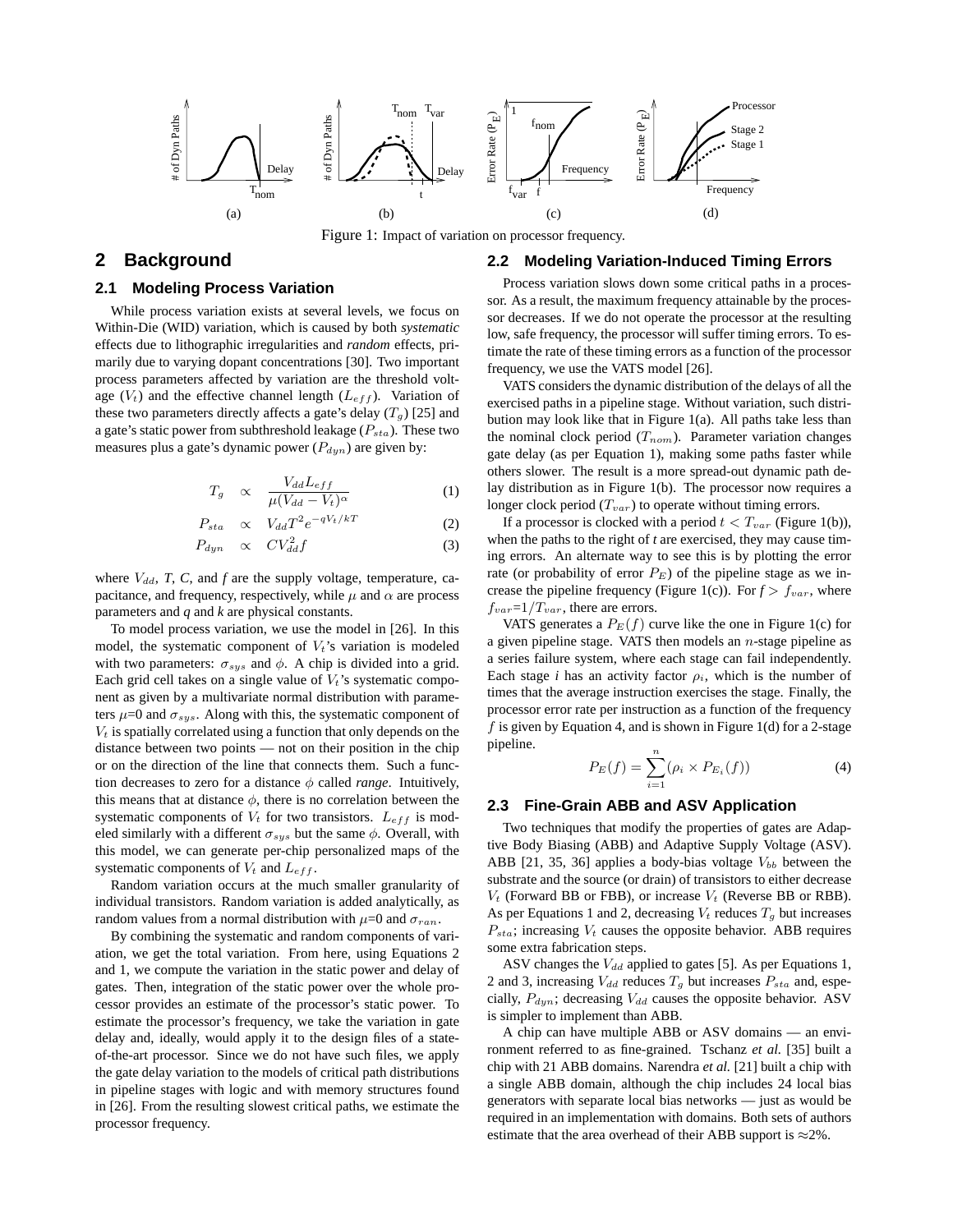

Figure 1: Impact of variation on processor frequency.

## **2 Background**

### **2.1 Modeling Process Variation**

While process variation exists at several levels, we focus on Within-Die (WID) variation, which is caused by both *systematic* effects due to lithographic irregularities and *random* effects, primarily due to varying dopant concentrations [30]. Two important process parameters affected by variation are the threshold voltage  $(V_t)$  and the effective channel length  $(L_{eff})$ . Variation of these two parameters directly affects a gate's delay  $(T_q)$  [25] and a gate's static power from subthreshold leakage  $(P_{sta})$ . These two measures plus a gate's dynamic power  $(P_{dyn})$  are given by:

$$
T_g \propto \frac{V_{dd}L_{eff}}{\mu(V_{dd}-V_t)^{\alpha}} \tag{1}
$$

$$
P_{sta} \propto V_{dd} T^2 e^{-qV_t/kT} \tag{2}
$$

$$
P_{dyn} \quad \propto \quad CV_{dd}^2 f \tag{3}
$$

where  $V_{dd}$ , *T*, *C*, and *f* are the supply voltage, temperature, capacitance, and frequency, respectively, while  $\mu$  and  $\alpha$  are process parameters and *q* and *k* are physical constants.

To model process variation, we use the model in [26]. In this model, the systematic component of  $V_t$ 's variation is modeled with two parameters:  $\sigma_{sys}$  and  $\phi$ . A chip is divided into a grid. Each grid cell takes on a single value of  $V_t$ 's systematic component as given by a multivariate normal distribution with parameters  $\mu$ =0 and  $\sigma_{sys}$ . Along with this, the systematic component of  $V_t$  is spatially correlated using a function that only depends on the distance between two points — not on their position in the chip or on the direction of the line that connects them. Such a function decreases to zero for a distance  $\phi$  called *range*. Intuitively, this means that at distance  $\phi$ , there is no correlation between the systematic components of  $V_t$  for two transistors.  $L_{eff}$  is modeled similarly with a different  $\sigma_{sys}$  but the same  $\phi$ . Overall, with this model, we can generate per-chip personalized maps of the systematic components of  $V_t$  and  $L_{eff}$ .

Random variation occurs at the much smaller granularity of individual transistors. Random variation is added analytically, as random values from a normal distribution with  $\mu=0$  and  $\sigma_{ran}$ .

By combining the systematic and random components of variation, we get the total variation. From here, using Equations 2 and 1, we compute the variation in the static power and delay of gates. Then, integration of the static power over the whole processor provides an estimate of the processor's static power. To estimate the processor's frequency, we take the variation in gate delay and, ideally, would apply it to the design files of a stateof-the-art processor. Since we do not have such files, we apply the gate delay variation to the models of critical path distributions in pipeline stages with logic and with memory structures found in [26]. From the resulting slowest critical paths, we estimate the processor frequency.

#### **2.2 Modeling Variation-Induced Timing Errors**

Process variation slows down some critical paths in a processor. As a result, the maximum frequency attainable by the processor decreases. If we do not operate the processor at the resulting low, safe frequency, the processor will suffer timing errors. To estimate the rate of these timing errors as a function of the processor frequency, we use the VATS model [26].

VATS considers the dynamic distribution of the delays of all the exercised paths in a pipeline stage. Without variation, such distribution may look like that in Figure 1(a). All paths take less than the nominal clock period  $(T_{nom})$ . Parameter variation changes gate delay (as per Equation 1), making some paths faster while others slower. The result is a more spread-out dynamic path delay distribution as in Figure 1(b). The processor now requires a longer clock period  $(T_{var})$  to operate without timing errors.

If a processor is clocked with a period  $t < T_{var}$  (Figure 1(b)), when the paths to the right of *t* are exercised, they may cause timing errors. An alternate way to see this is by plotting the error rate (or probability of error  $P_E$ ) of the pipeline stage as we increase the pipeline frequency (Figure 1(c)). For  $f > f_{var}$ , where  $f_{var}=1/T_{var}$ , there are errors.

VATS generates a  $P_E(f)$  curve like the one in Figure 1(c) for a given pipeline stage. VATS then models an  $n$ -stage pipeline as a series failure system, where each stage can fail independently. Each stage *i* has an activity factor  $\rho_i$ , which is the number of times that the average instruction exercises the stage. Finally, the processor error rate per instruction as a function of the frequency  $f$  is given by Equation 4, and is shown in Figure 1(d) for a 2-stage pipeline.

$$
P_E(f) = \sum_{i=1}^{n} (\rho_i \times P_{E_i}(f))
$$
 (4)

### **2.3 Fine-Grain ABB and ASV Application**

Two techniques that modify the properties of gates are Adaptive Body Biasing (ABB) and Adaptive Supply Voltage (ASV). ABB [21, 35, 36] applies a body-bias voltage  $V_{bb}$  between the substrate and the source (or drain) of transistors to either decrease  $V_t$  (Forward BB or FBB), or increase  $V_t$  (Reverse BB or RBB). As per Equations 1 and 2, decreasing  $V_t$  reduces  $T_g$  but increases  $P_{sta}$ ; increasing  $V_t$  causes the opposite behavior. ABB requires some extra fabrication steps.

ASV changes the  $V_{dd}$  applied to gates [5]. As per Equations 1, 2 and 3, increasing  $V_{dd}$  reduces  $T_g$  but increases  $P_{sta}$  and, especially,  $P_{dyn}$ ; decreasing  $V_{dd}$  causes the opposite behavior. ASV is simpler to implement than ABB.

A chip can have multiple ABB or ASV domains — an environment referred to as fine-grained. Tschanz *et al.* [35] built a chip with 21 ABB domains. Narendra *et al.* [21] built a chip with a single ABB domain, although the chip includes 24 local bias generators with separate local bias networks — just as would be required in an implementation with domains. Both sets of authors estimate that the area overhead of their ABB support is  $\approx$ 2%.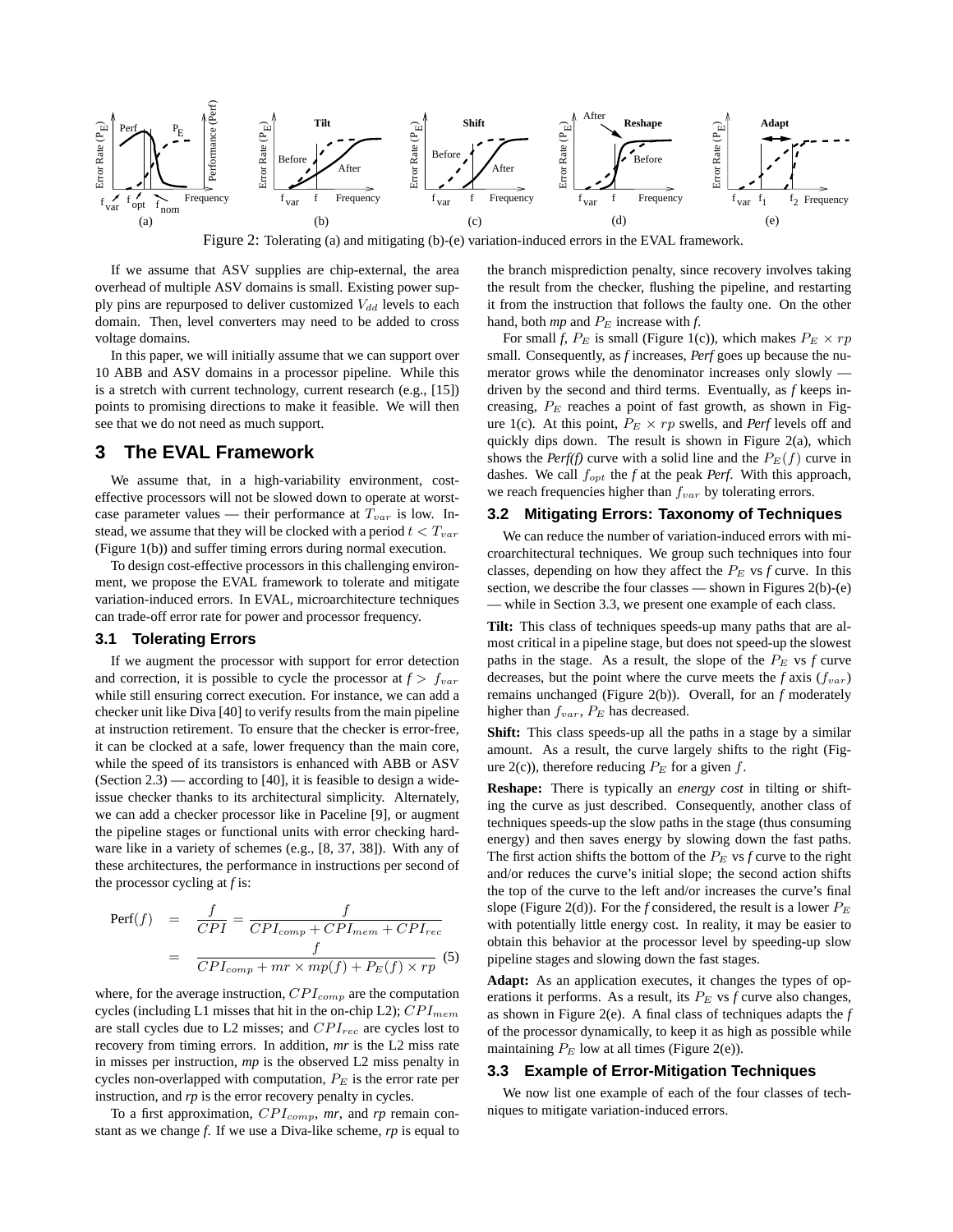

Figure 2: Tolerating (a) and mitigating (b)-(e) variation-induced errors in the EVAL framework.

If we assume that ASV supplies are chip-external, the area overhead of multiple ASV domains is small. Existing power supply pins are repurposed to deliver customized  $V_{dd}$  levels to each domain. Then, level converters may need to be added to cross voltage domains.

In this paper, we will initially assume that we can support over 10 ABB and ASV domains in a processor pipeline. While this is a stretch with current technology, current research (e.g., [15]) points to promising directions to make it feasible. We will then see that we do not need as much support.

## **3 The EVAL Framework**

We assume that, in a high-variability environment, costeffective processors will not be slowed down to operate at worstcase parameter values — their performance at  $T_{var}$  is low. Instead, we assume that they will be clocked with a period  $t < T_{var}$ (Figure 1(b)) and suffer timing errors during normal execution.

To design cost-effective processors in this challenging environment, we propose the EVAL framework to tolerate and mitigate variation-induced errors. In EVAL, microarchitecture techniques can trade-off error rate for power and processor frequency.

### **3.1 Tolerating Errors**

If we augment the processor with support for error detection and correction, it is possible to cycle the processor at  $f > f_{var}$ while still ensuring correct execution. For instance, we can add a checker unit like Diva [40] to verify results from the main pipeline at instruction retirement. To ensure that the checker is error-free, it can be clocked at a safe, lower frequency than the main core, while the speed of its transistors is enhanced with ABB or ASV  $(Section 2.3)$  — according to [40], it is feasible to design a wideissue checker thanks to its architectural simplicity. Alternately, we can add a checker processor like in Paceline [9], or augment the pipeline stages or functional units with error checking hardware like in a variety of schemes (e.g., [8, 37, 38]). With any of these architectures, the performance in instructions per second of the processor cycling at *f* is:

$$
Perf(f) = \frac{f}{CPI} = \frac{f}{CPI_{comp} + CPI_{mem} + CPI_{rec}}
$$

$$
= \frac{f}{CPI_{comp} + mr \times mp(f) + P_E(f) \times rp} (5)
$$

where, for the average instruction,  $CPI_{comp}$  are the computation cycles (including L1 misses that hit in the on-chip L2);  $CPI_{mem}$ are stall cycles due to L2 misses; and  $CPI_{rec}$  are cycles lost to recovery from timing errors. In addition, *mr* is the L2 miss rate in misses per instruction, *mp* is the observed L2 miss penalty in cycles non-overlapped with computation,  $P_E$  is the error rate per instruction, and *rp* is the error recovery penalty in cycles.

To a first approximation,  $CPI_{comp}$ , mr, and rp remain constant as we change *f*. If we use a Diva-like scheme, *rp* is equal to the branch misprediction penalty, since recovery involves taking the result from the checker, flushing the pipeline, and restarting it from the instruction that follows the faulty one. On the other hand, both  $mp$  and  $P<sub>E</sub>$  increase with  $f$ .

For small *f*,  $P_E$  is small (Figure 1(c)), which makes  $P_E \times rp$ small. Consequently, as *f* increases, *Perf* goes up because the numerator grows while the denominator increases only slowly driven by the second and third terms. Eventually, as *f* keeps increasing,  $P_E$  reaches a point of fast growth, as shown in Figure 1(c). At this point,  $P_E \times rp$  swells, and *Perf* levels off and quickly dips down. The result is shown in Figure 2(a), which shows the *Perf(f)* curve with a solid line and the  $P_E(f)$  curve in dashes. We call fopt the *f* at the peak *Perf*. With this approach, we reach frequencies higher than  $f_{var}$  by tolerating errors.

## **3.2 Mitigating Errors: Taxonomy of Techniques**

We can reduce the number of variation-induced errors with microarchitectural techniques. We group such techniques into four classes, depending on how they affect the  $P_E$  vs  $f$  curve. In this section, we describe the four classes — shown in Figures 2(b)-(e) - while in Section 3.3, we present one example of each class.

**Tilt:** This class of techniques speeds-up many paths that are almost critical in a pipeline stage, but does not speed-up the slowest paths in the stage. As a result, the slope of the  $P<sub>E</sub>$  vs  $f$  curve decreases, but the point where the curve meets the  $f$  axis  $(f_{var})$ remains unchanged (Figure 2(b)). Overall, for an *f* moderately higher than  $f_{var}$ ,  $P_E$  has decreased.

**Shift:** This class speeds-up all the paths in a stage by a similar amount. As a result, the curve largely shifts to the right (Figure  $2(c)$ ), therefore reducing  $P_E$  for a given f.

**Reshape:** There is typically an *energy cost* in tilting or shifting the curve as just described. Consequently, another class of techniques speeds-up the slow paths in the stage (thus consuming energy) and then saves energy by slowing down the fast paths. The first action shifts the bottom of the  $P_E$  vs  $f$  curve to the right and/or reduces the curve's initial slope; the second action shifts the top of the curve to the left and/or increases the curve's final slope (Figure 2(d)). For the *f* considered, the result is a lower  $P_E$ with potentially little energy cost. In reality, it may be easier to obtain this behavior at the processor level by speeding-up slow pipeline stages and slowing down the fast stages.

**Adapt:** As an application executes, it changes the types of operations it performs. As a result, its  $P_E$  vs  $f$  curve also changes, as shown in Figure 2(e). A final class of techniques adapts the *f* of the processor dynamically, to keep it as high as possible while maintaining  $P_E$  low at all times (Figure 2(e)).

#### **3.3 Example of Error-Mitigation Techniques**

We now list one example of each of the four classes of techniques to mitigate variation-induced errors.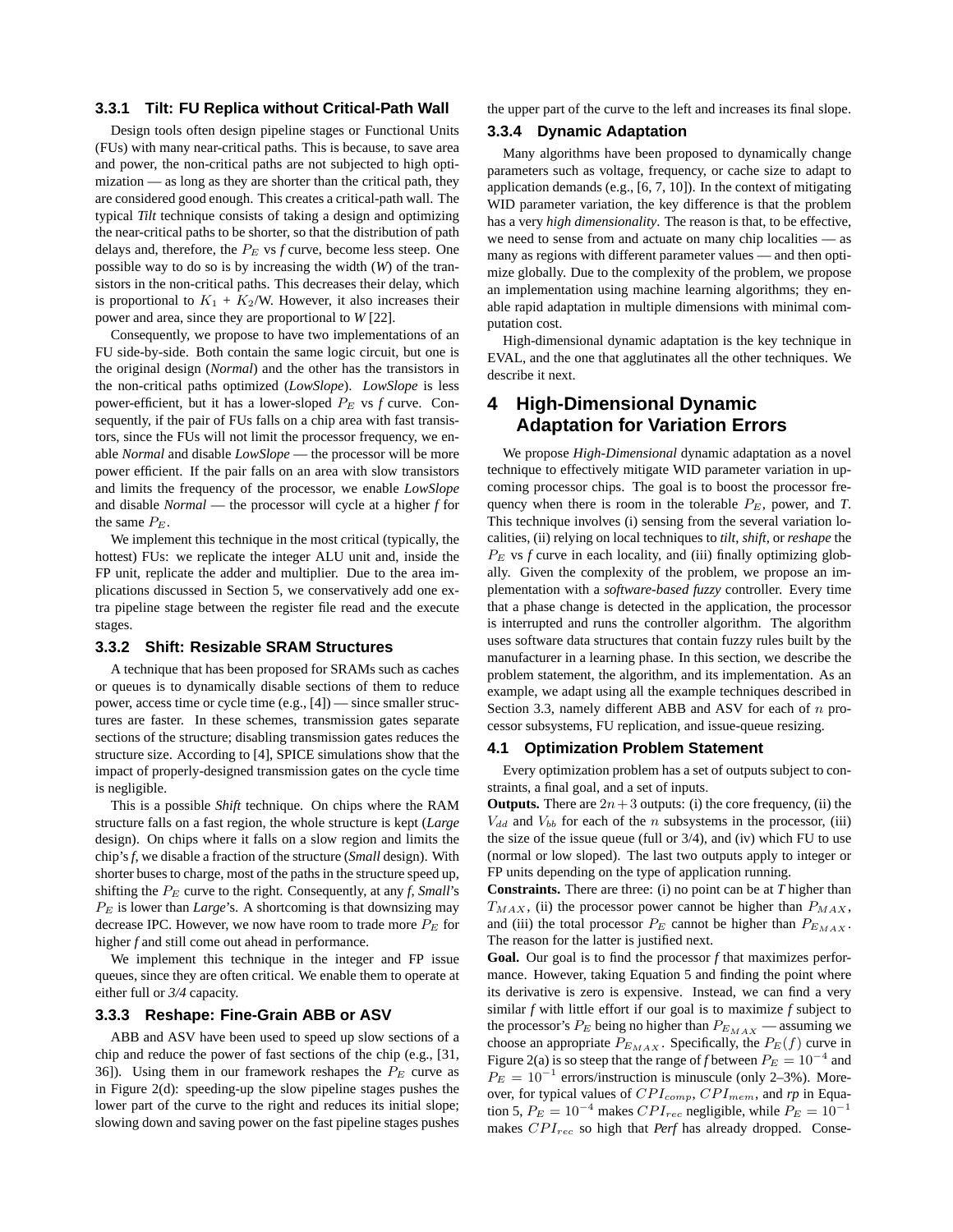### **3.3.1 Tilt: FU Replica without Critical-Path Wall**

Design tools often design pipeline stages or Functional Units (FUs) with many near-critical paths. This is because, to save area and power, the non-critical paths are not subjected to high optimization — as long as they are shorter than the critical path, they are considered good enough. This creates a critical-path wall. The typical *Tilt* technique consists of taking a design and optimizing the near-critical paths to be shorter, so that the distribution of path delays and, therefore, the  $P_E$  vs  $f$  curve, become less steep. One possible way to do so is by increasing the width (*W*) of the transistors in the non-critical paths. This decreases their delay, which is proportional to  $K_1 + K_2/N$ . However, it also increases their power and area, since they are proportional to *W* [22].

Consequently, we propose to have two implementations of an FU side-by-side. Both contain the same logic circuit, but one is the original design (*Normal*) and the other has the transistors in the non-critical paths optimized (*LowSlope*). *LowSlope* is less power-efficient, but it has a lower-sloped  $P_E$  vs  $f$  curve. Consequently, if the pair of FUs falls on a chip area with fast transistors, since the FUs will not limit the processor frequency, we enable *Normal* and disable *LowSlope* — the processor will be more power efficient. If the pair falls on an area with slow transistors and limits the frequency of the processor, we enable *LowSlope* and disable *Normal* — the processor will cycle at a higher *f* for the same  $P_E$ .

We implement this technique in the most critical (typically, the hottest) FUs: we replicate the integer ALU unit and, inside the FP unit, replicate the adder and multiplier. Due to the area implications discussed in Section 5, we conservatively add one extra pipeline stage between the register file read and the execute stages.

#### **3.3.2 Shift: Resizable SRAM Structures**

A technique that has been proposed for SRAMs such as caches or queues is to dynamically disable sections of them to reduce power, access time or cycle time (e.g., [4]) — since smaller structures are faster. In these schemes, transmission gates separate sections of the structure; disabling transmission gates reduces the structure size. According to [4], SPICE simulations show that the impact of properly-designed transmission gates on the cycle time is negligible.

This is a possible *Shift* technique. On chips where the RAM structure falls on a fast region, the whole structure is kept (*Large* design). On chips where it falls on a slow region and limits the chip's *f*, we disable a fraction of the structure (*Small* design). With shorter buses to charge, most of the paths in the structure speed up, shifting the  $P_E$  curve to the right. Consequently, at any *f*, *Small*'s  $P<sub>E</sub>$  is lower than *Large*'s. A shortcoming is that downsizing may decrease IPC. However, we now have room to trade more  $P_E$  for higher *f* and still come out ahead in performance.

We implement this technique in the integer and FP issue queues, since they are often critical. We enable them to operate at either full or *3/4* capacity.

### **3.3.3 Reshape: Fine-Grain ABB or ASV**

ABB and ASV have been used to speed up slow sections of a chip and reduce the power of fast sections of the chip (e.g., [31, 36]). Using them in our framework reshapes the  $P_E$  curve as in Figure 2(d): speeding-up the slow pipeline stages pushes the lower part of the curve to the right and reduces its initial slope; slowing down and saving power on the fast pipeline stages pushes the upper part of the curve to the left and increases its final slope.

### **3.3.4 Dynamic Adaptation**

Many algorithms have been proposed to dynamically change parameters such as voltage, frequency, or cache size to adapt to application demands (e.g., [6, 7, 10]). In the context of mitigating WID parameter variation, the key difference is that the problem has a very *high dimensionality*. The reason is that, to be effective, we need to sense from and actuate on many chip localities — as many as regions with different parameter values — and then optimize globally. Due to the complexity of the problem, we propose an implementation using machine learning algorithms; they enable rapid adaptation in multiple dimensions with minimal computation cost.

High-dimensional dynamic adaptation is the key technique in EVAL, and the one that agglutinates all the other techniques. We describe it next.

# **4 High-Dimensional Dynamic Adaptation for Variation Errors**

We propose *High-Dimensional* dynamic adaptation as a novel technique to effectively mitigate WID parameter variation in upcoming processor chips. The goal is to boost the processor frequency when there is room in the tolerable  $P_E$ , power, and *T*. This technique involves (i) sensing from the several variation localities, (ii) relying on local techniques to *tilt*, *shift*, or *reshape* the  $P<sub>E</sub>$  vs  $f$  curve in each locality, and (iii) finally optimizing globally. Given the complexity of the problem, we propose an implementation with a *software-based fuzzy* controller. Every time that a phase change is detected in the application, the processor is interrupted and runs the controller algorithm. The algorithm uses software data structures that contain fuzzy rules built by the manufacturer in a learning phase. In this section, we describe the problem statement, the algorithm, and its implementation. As an example, we adapt using all the example techniques described in Section 3.3, namely different ABB and ASV for each of  $n$  processor subsystems, FU replication, and issue-queue resizing.

#### **4.1 Optimization Problem Statement**

Every optimization problem has a set of outputs subject to constraints, a final goal, and a set of inputs.

**Outputs.** There are  $2n+3$  outputs: (i) the core frequency, (ii) the  $V_{dd}$  and  $V_{bb}$  for each of the n subsystems in the processor, (iii) the size of the issue queue (full or 3/4), and (iv) which FU to use (normal or low sloped). The last two outputs apply to integer or FP units depending on the type of application running.

**Constraints.** There are three: (i) no point can be at *T* higher than  $T_{MAX}$ , (ii) the processor power cannot be higher than  $P_{MAX}$ , and (iii) the total processor  $P_E$  cannot be higher than  $P_{E_{MAX}}$ . The reason for the latter is justified next.

**Goal.** Our goal is to find the processor *f* that maximizes performance. However, taking Equation 5 and finding the point where its derivative is zero is expensive. Instead, we can find a very similar *f* with little effort if our goal is to maximize *f* subject to the processor's  $P_E$  being no higher than  $P_{E_{MAX}}$  — assuming we choose an appropriate  $P_{E_{MAX}}$ . Specifically, the  $P_E(f)$  curve in Figure 2(a) is so steep that the range of *f* between  $P_E = 10^{-4}$  and  $P_E = 10^{-1}$  errors/instruction is minuscule (only 2–3%). Moreover, for typical values of  $CPI_{comp}$ ,  $CPI_{mem}$ , and rp in Equation 5,  $P_E = 10^{-4}$  makes  $CPI_{rec}$  negligible, while  $P_E = 10^{-1}$ makes  $CPI_{rec}$  so high that *Perf* has already dropped. Conse-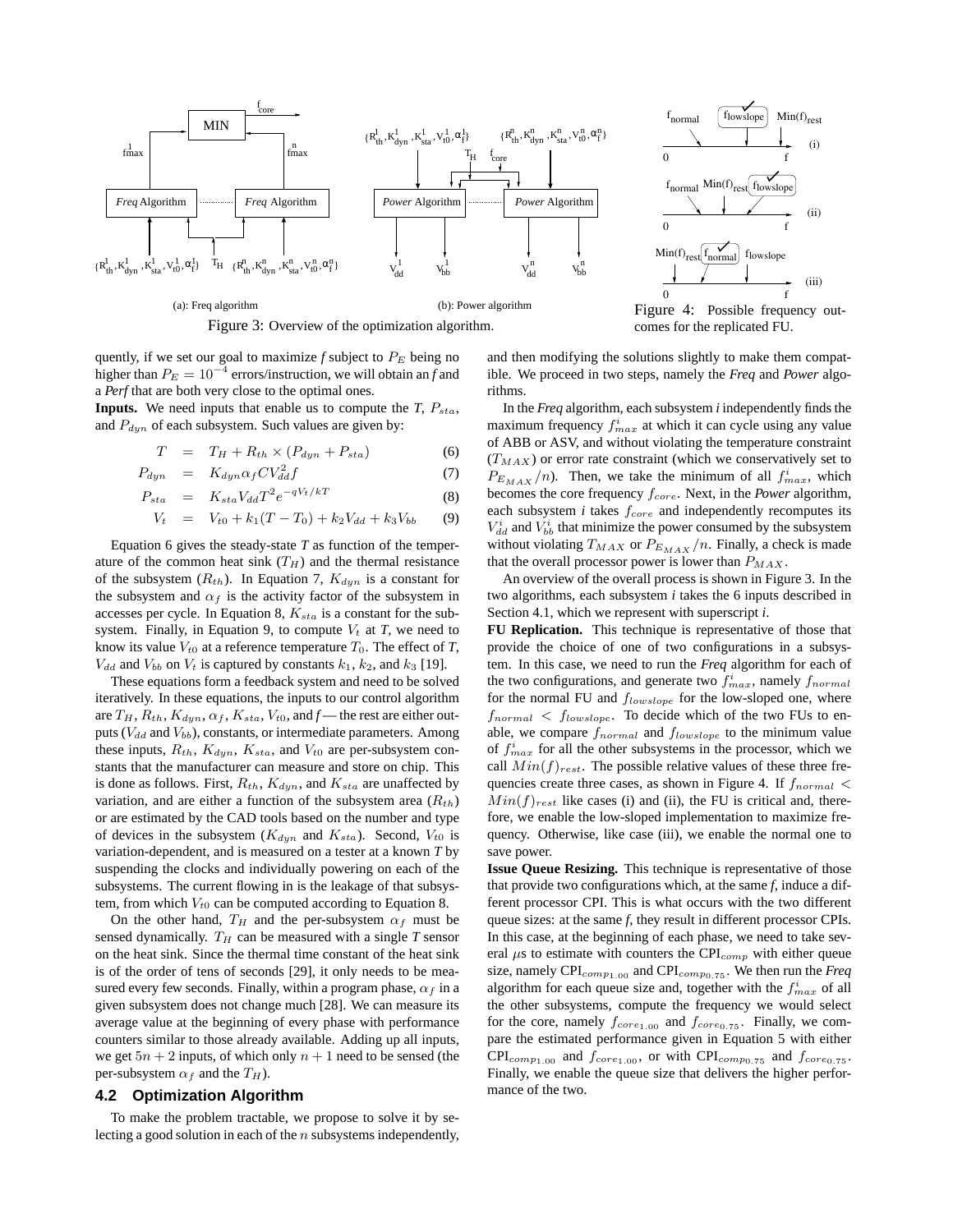

Figure 3: Overview of the optimization algorithm.

quently, if we set our goal to maximize  $f$  subject to  $P_E$  being no higher than  $P_E = 10^{-4}$  errors/instruction, we will obtain an *f* and a *Perf* that are both very close to the optimal ones.

**Inputs.** We need inputs that enable us to compute the  $T$ ,  $P_{sta}$ , and  $P_{dyn}$  of each subsystem. Such values are given by:

$$
T = T_H + R_{th} \times (P_{dyn} + P_{sta}) \tag{6}
$$

$$
P_{dyn} = K_{dyn} \alpha_f C V_{dd}^2 f \tag{7}
$$

$$
P_{sta} = K_{sta} V_{dd} T^2 e^{-qV_t/kT}
$$
\n(8)

$$
V_t = V_{t0} + k_1(T - T_0) + k_2 V_{dd} + k_3 V_{bb}
$$
 (9)

Equation 6 gives the steady-state *T* as function of the temperature of the common heat sink  $(T_H)$  and the thermal resistance of the subsystem  $(R_{th})$ . In Equation 7,  $K_{dyn}$  is a constant for the subsystem and  $\alpha_f$  is the activity factor of the subsystem in accesses per cycle. In Equation 8,  $K_{sta}$  is a constant for the subsystem. Finally, in Equation 9, to compute  $V_t$  at *T*, we need to know its value  $V_{t0}$  at a reference temperature  $T_0$ . The effect of  $T$ ,  $V_{dd}$  and  $V_{bb}$  on  $V_t$  is captured by constants  $k_1$ ,  $k_2$ , and  $k_3$  [19].

These equations form a feedback system and need to be solved iteratively. In these equations, the inputs to our control algorithm are  $T_H$ ,  $R_{th}$ ,  $K_{dyn}$ ,  $\alpha_f$ ,  $K_{sta}$ ,  $V_{t0}$ , and  $f$  — the rest are either outputs ( $V_{dd}$  and  $V_{bb}$ ), constants, or intermediate parameters. Among these inputs,  $R_{th}$ ,  $K_{dyn}$ ,  $K_{sta}$ , and  $V_{t0}$  are per-subsystem constants that the manufacturer can measure and store on chip. This is done as follows. First,  $R_{th}$ ,  $K_{dyn}$ , and  $K_{sta}$  are unaffected by variation, and are either a function of the subsystem area  $(R_{th})$ or are estimated by the CAD tools based on the number and type of devices in the subsystem ( $K_{dyn}$  and  $K_{sta}$ ). Second,  $V_{t0}$  is variation-dependent, and is measured on a tester at a known *T* by suspending the clocks and individually powering on each of the subsystems. The current flowing in is the leakage of that subsystem, from which  $V_{t0}$  can be computed according to Equation 8.

On the other hand,  $T_H$  and the per-subsystem  $\alpha_f$  must be sensed dynamically.  $T_H$  can be measured with a single  $T$  sensor on the heat sink. Since the thermal time constant of the heat sink is of the order of tens of seconds [29], it only needs to be measured every few seconds. Finally, within a program phase,  $\alpha_f$  in a given subsystem does not change much [28]. We can measure its average value at the beginning of every phase with performance counters similar to those already available. Adding up all inputs, we get  $5n + 2$  inputs, of which only  $n + 1$  need to be sensed (the per-subsystem  $\alpha_f$  and the  $T_H$ ).

#### **4.2 Optimization Algorithm**

To make the problem tractable, we propose to solve it by selecting a good solution in each of the  $n$  subsystems independently,



Figure 4: Possible frequency outcomes for the replicated FU.

and then modifying the solutions slightly to make them compatible. We proceed in two steps, namely the *Freq* and *Power* algorithms.

In the *Freq* algorithm, each subsystem *i* independently finds the maximum frequency  $f_{max}^i$  at which it can cycle using any value of ABB or ASV, and without violating the temperature constraint  $(T_{MAX})$  or error rate constraint (which we conservatively set to  $P_{E_{MAX}}(n)$ . Then, we take the minimum of all  $f_{max}^i$ , which becomes the core frequency  $f_{core}$ . Next, in the *Power* algorithm, each subsystem  $i$  takes  $f_{core}$  and independently recomputes its  $V_{dd}^{i}$  and  $V_{bb}^{i}$  that minimize the power consumed by the subsystem without violating  $T_{MAX}$  or  $P_{E_{MAX}}/n$ . Finally, a check is made that the overall processor power is lower than  $P_{MAX}$ .

An overview of the overall process is shown in Figure 3. In the two algorithms, each subsystem *i* takes the 6 inputs described in Section 4.1, which we represent with superscript *i*.

**FU Replication.** This technique is representative of those that provide the choice of one of two configurations in a subsystem. In this case, we need to run the *Freq* algorithm for each of the two configurations, and generate two  $f_{max}^i$ , namely  $f_{normal}$ for the normal FU and  $f_{lowslope}$  for the low-sloped one, where  $f_{normal}$  <  $f_{lowslope}$ . To decide which of the two FUs to enable, we compare  $f_{normal}$  and  $f_{lowslope}$  to the minimum value of  $f_{max}^i$  for all the other subsystems in the processor, which we call  $Min(f)_{rest}$ . The possible relative values of these three frequencies create three cases, as shown in Figure 4. If  $f_{normal}$  $Min(f)_{rest}$  like cases (i) and (ii), the FU is critical and, therefore, we enable the low-sloped implementation to maximize frequency. Otherwise, like case (iii), we enable the normal one to save power.

**Issue Queue Resizing.** This technique is representative of those that provide two configurations which, at the same *f*, induce a different processor CPI. This is what occurs with the two different queue sizes: at the same *f*, they result in different processor CPIs. In this case, at the beginning of each phase, we need to take several  $\mu$ s to estimate with counters the CPI<sub>comp</sub> with either queue size, namely  $\text{CPI}_{comp_{1,00}}$  and  $\text{CPI}_{comp_{0,75}}$ . We then run the *Freq* algorithm for each queue size and, together with the  $f_{max}^i$  of all the other subsystems, compute the frequency we would select for the core, namely  $f_{core_{1.00}}$  and  $f_{core_{0.75}}$ . Finally, we compare the estimated performance given in Equation 5 with either  $\text{CPI}_{comp_{1.00}}$  and  $f_{core_{1.00}}$ , or with  $\text{CPI}_{comp_{0.75}}$  and  $f_{core_{0.75}}$ . Finally, we enable the queue size that delivers the higher performance of the two.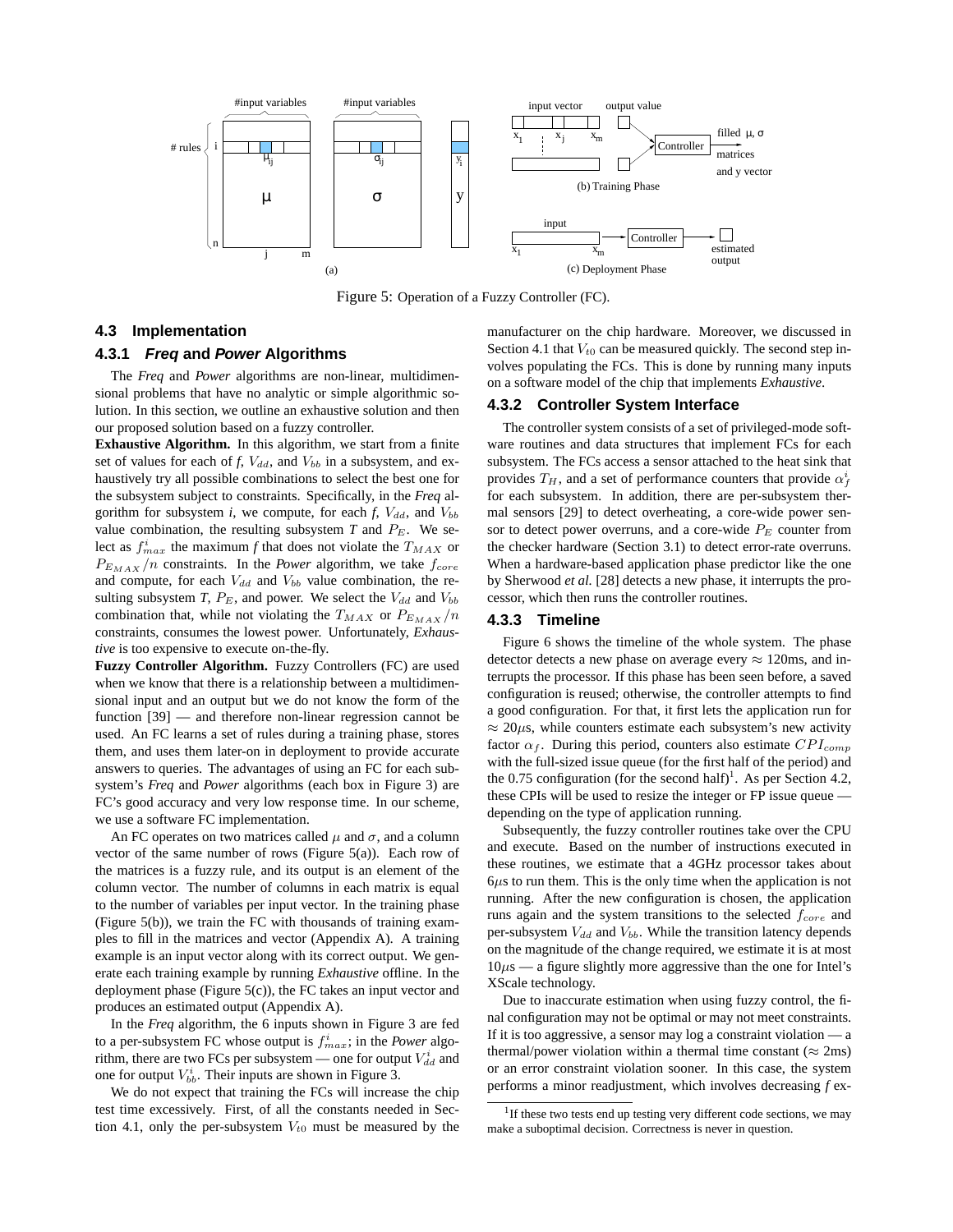

Figure 5: Operation of a Fuzzy Controller (FC).

#### **4.3 Implementation**

#### **4.3.1 Freq and Power Algorithms**

The *Freq* and *Power* algorithms are non-linear, multidimensional problems that have no analytic or simple algorithmic solution. In this section, we outline an exhaustive solution and then our proposed solution based on a fuzzy controller.

**Exhaustive Algorithm.** In this algorithm, we start from a finite set of values for each of  $f$ ,  $V_{dd}$ , and  $V_{bb}$  in a subsystem, and exhaustively try all possible combinations to select the best one for the subsystem subject to constraints. Specifically, in the *Freq* algorithm for subsystem  $i$ , we compute, for each  $f$ ,  $V_{dd}$ , and  $V_{bb}$ value combination, the resulting subsystem  $T$  and  $P_E$ . We select as  $f_{max}^i$  the maximum *f* that does not violate the  $T_{MAX}$  or  $P_{E_{MAX}}/n$  constraints. In the *Power* algorithm, we take  $f_{core}$ and compute, for each  $V_{dd}$  and  $V_{bb}$  value combination, the resulting subsystem *T*,  $P_E$ , and power. We select the  $V_{dd}$  and  $V_{bb}$ combination that, while not violating the  $T_{MAX}$  or  $P_{E_{MAX}}/n$ constraints, consumes the lowest power. Unfortunately, *Exhaustive* is too expensive to execute on-the-fly.

**Fuzzy Controller Algorithm.** Fuzzy Controllers (FC) are used when we know that there is a relationship between a multidimensional input and an output but we do not know the form of the function [39] — and therefore non-linear regression cannot be used. An FC learns a set of rules during a training phase, stores them, and uses them later-on in deployment to provide accurate answers to queries. The advantages of using an FC for each subsystem's *Freq* and *Power* algorithms (each box in Figure 3) are FC's good accuracy and very low response time. In our scheme, we use a software FC implementation.

An FC operates on two matrices called  $\mu$  and  $\sigma$ , and a column vector of the same number of rows (Figure 5(a)). Each row of the matrices is a fuzzy rule, and its output is an element of the column vector. The number of columns in each matrix is equal to the number of variables per input vector. In the training phase (Figure 5(b)), we train the FC with thousands of training examples to fill in the matrices and vector (Appendix A). A training example is an input vector along with its correct output. We generate each training example by running *Exhaustive* offline. In the deployment phase (Figure 5(c)), the FC takes an input vector and produces an estimated output (Appendix A).

In the *Freq* algorithm, the 6 inputs shown in Figure 3 are fed to a per-subsystem FC whose output is  $f_{max}^i$ ; in the *Power* algorithm, there are two FCs per subsystem — one for output  $V_{dd}^{i}$  and one for output  $V_{bb}^i$ . Their inputs are shown in Figure 3.

We do not expect that training the FCs will increase the chip test time excessively. First, of all the constants needed in Section 4.1, only the per-subsystem  $V_{t0}$  must be measured by the manufacturer on the chip hardware. Moreover, we discussed in Section 4.1 that  $V_{t0}$  can be measured quickly. The second step involves populating the FCs. This is done by running many inputs on a software model of the chip that implements *Exhaustive*.

#### **4.3.2 Controller System Interface**

The controller system consists of a set of privileged-mode software routines and data structures that implement FCs for each subsystem. The FCs access a sensor attached to the heat sink that provides  $T_H$ , and a set of performance counters that provide  $\alpha_f^i$ for each subsystem. In addition, there are per-subsystem thermal sensors [29] to detect overheating, a core-wide power sensor to detect power overruns, and a core-wide  $P_E$  counter from the checker hardware (Section 3.1) to detect error-rate overruns. When a hardware-based application phase predictor like the one by Sherwood *et al.* [28] detects a new phase, it interrupts the processor, which then runs the controller routines.

### **4.3.3 Timeline**

Figure 6 shows the timeline of the whole system. The phase detector detects a new phase on average every  $\approx 120$ ms, and interrupts the processor. If this phase has been seen before, a saved configuration is reused; otherwise, the controller attempts to find a good configuration. For that, it first lets the application run for  $\approx$  20 $\mu$ s, while counters estimate each subsystem's new activity factor  $\alpha_f$ . During this period, counters also estimate  $CPI_{comp}$ with the full-sized issue queue (for the first half of the period) and the 0.75 configuration (for the second half)<sup>1</sup>. As per Section 4.2, these CPIs will be used to resize the integer or FP issue queue depending on the type of application running.

Subsequently, the fuzzy controller routines take over the CPU and execute. Based on the number of instructions executed in these routines, we estimate that a 4GHz processor takes about  $6\mu s$  to run them. This is the only time when the application is not running. After the new configuration is chosen, the application runs again and the system transitions to the selected  $f_{core}$  and per-subsystem  $V_{dd}$  and  $V_{bb}$ . While the transition latency depends on the magnitude of the change required, we estimate it is at most  $10\mu s$  — a figure slightly more aggressive than the one for Intel's XScale technology.

Due to inaccurate estimation when using fuzzy control, the final configuration may not be optimal or may not meet constraints. If it is too aggressive, a sensor may log a constraint violation — a thermal/power violation within a thermal time constant ( $\approx$  2ms) or an error constraint violation sooner. In this case, the system performs a minor readjustment, which involves decreasing *f* ex-

<sup>&</sup>lt;sup>1</sup>If these two tests end up testing very different code sections, we may make a suboptimal decision. Correctness is never in question.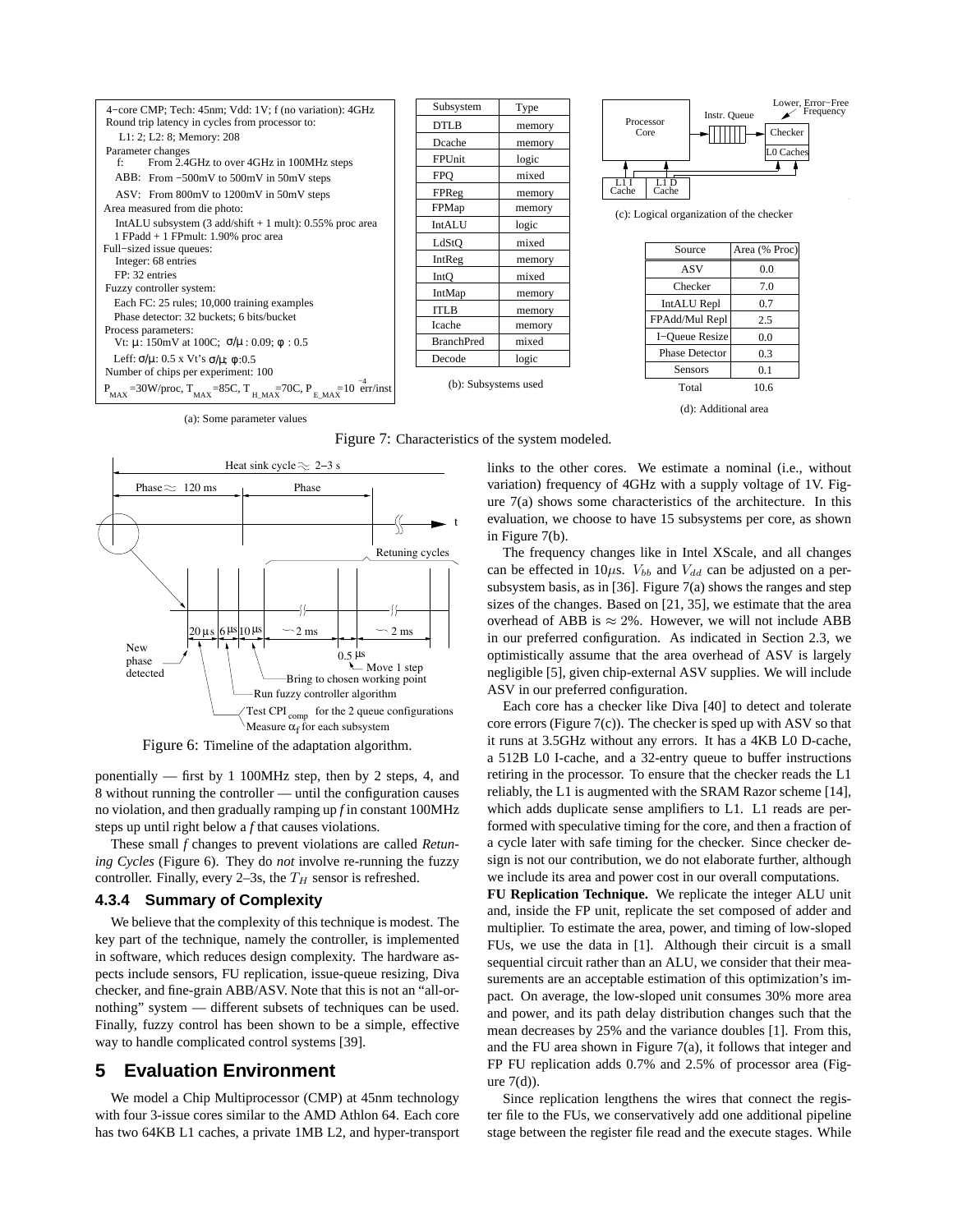

Figure 7: Characteristics of the system modeled.



Figure 6: Timeline of the adaptation algorithm.

ponentially — first by 1 100MHz step, then by 2 steps, 4, and 8 without running the controller — until the configuration causes no violation, and then gradually ramping up *f* in constant 100MHz steps up until right below a *f* that causes violations.

These small *f* changes to prevent violations are called *Retuning Cycles* (Figure 6). They do *not* involve re-running the fuzzy controller. Finally, every 2-3s, the  $T_H$  sensor is refreshed.

### **4.3.4 Summary of Complexity**

We believe that the complexity of this technique is modest. The key part of the technique, namely the controller, is implemented in software, which reduces design complexity. The hardware aspects include sensors, FU replication, issue-queue resizing, Diva checker, and fine-grain ABB/ASV. Note that this is not an "all-ornothing" system — different subsets of techniques can be used. Finally, fuzzy control has been shown to be a simple, effective way to handle complicated control systems [39].

## **5 Evaluation Environment**

We model a Chip Multiprocessor (CMP) at 45nm technology with four 3-issue cores similar to the AMD Athlon 64. Each core has two 64KB L1 caches, a private 1MB L2, and hyper-transport links to the other cores. We estimate a nominal (i.e., without variation) frequency of 4GHz with a supply voltage of 1V. Figure 7(a) shows some characteristics of the architecture. In this evaluation, we choose to have 15 subsystems per core, as shown in Figure 7(b).

The frequency changes like in Intel XScale, and all changes can be effected in 10 $\mu$ s.  $V_{bb}$  and  $V_{dd}$  can be adjusted on a persubsystem basis, as in [36]. Figure 7(a) shows the ranges and step sizes of the changes. Based on [21, 35], we estimate that the area overhead of ABB is  $\approx 2\%$ . However, we will not include ABB in our preferred configuration. As indicated in Section 2.3, we optimistically assume that the area overhead of ASV is largely negligible [5], given chip-external ASV supplies. We will include ASV in our preferred configuration.

Each core has a checker like Diva [40] to detect and tolerate core errors (Figure 7(c)). The checker is sped up with ASV so that it runs at 3.5GHz without any errors. It has a 4KB L0 D-cache, a 512B L0 I-cache, and a 32-entry queue to buffer instructions retiring in the processor. To ensure that the checker reads the L1 reliably, the L1 is augmented with the SRAM Razor scheme [14], which adds duplicate sense amplifiers to L1. L1 reads are performed with speculative timing for the core, and then a fraction of a cycle later with safe timing for the checker. Since checker design is not our contribution, we do not elaborate further, although we include its area and power cost in our overall computations.

**FU Replication Technique.** We replicate the integer ALU unit and, inside the FP unit, replicate the set composed of adder and multiplier. To estimate the area, power, and timing of low-sloped FUs, we use the data in [1]. Although their circuit is a small sequential circuit rather than an ALU, we consider that their measurements are an acceptable estimation of this optimization's impact. On average, the low-sloped unit consumes 30% more area and power, and its path delay distribution changes such that the mean decreases by 25% and the variance doubles [1]. From this, and the FU area shown in Figure 7(a), it follows that integer and FP FU replication adds 0.7% and 2.5% of processor area (Figure 7(d)).

Since replication lengthens the wires that connect the register file to the FUs, we conservatively add one additional pipeline stage between the register file read and the execute stages. While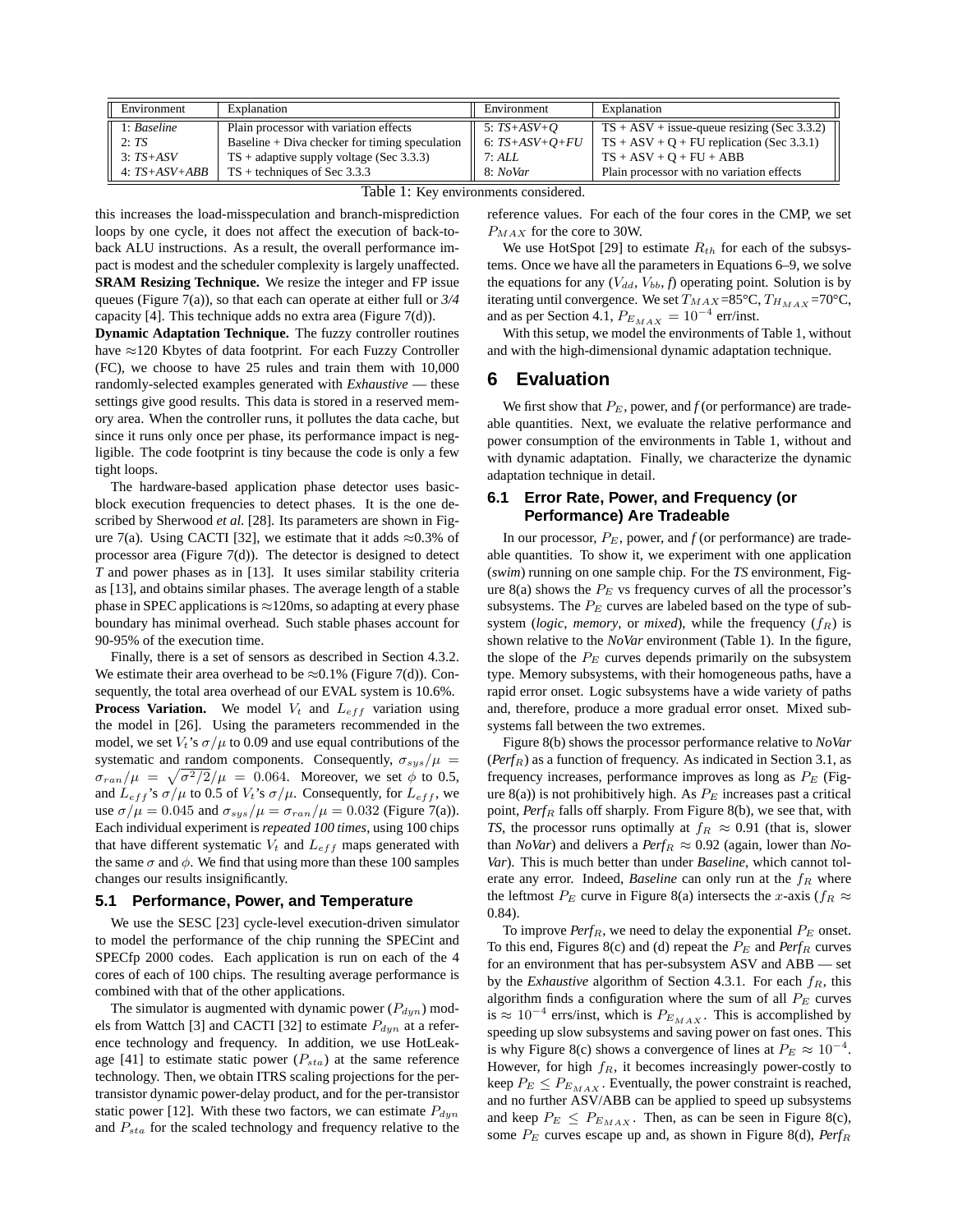| Environment     | Explanation                                      | Environment      | Explanation                                   |
|-----------------|--------------------------------------------------|------------------|-----------------------------------------------|
| 1: Baseline     | Plain processor with variation effects           | 5: $TS+ASV+O$    | $TS + ASV + issue-queue$ resizing (Sec 3.3.2) |
| 2:TS            | Baseline $+$ Diva checker for timing speculation | 6: $TS+ASV+O+FU$ | $TS + ASV + Q + FU$ replication (Sec 3.3.1)   |
| $3:TS+ASV$      | $TS + adaptive$ supply voltage (Sec 3.3.3)       | 7:ALL            | $TS + ASV + O + FU + ABB$                     |
| $4: TS+ASV+ABB$ | $TS$ + techniques of Sec 3.3.3                   | 8: NoVar         | Plain processor with no variation effects     |

Table 1: Key environments considered.

this increases the load-misspeculation and branch-misprediction loops by one cycle, it does not affect the execution of back-toback ALU instructions. As a result, the overall performance impact is modest and the scheduler complexity is largely unaffected. **SRAM Resizing Technique.** We resize the integer and FP issue queues (Figure 7(a)), so that each can operate at either full or *3/4* capacity [4]. This technique adds no extra area (Figure 7(d)).

**Dynamic Adaptation Technique.** The fuzzy controller routines have ≈120 Kbytes of data footprint. For each Fuzzy Controller (FC), we choose to have 25 rules and train them with 10,000 randomly-selected examples generated with *Exhaustive* — these settings give good results. This data is stored in a reserved memory area. When the controller runs, it pollutes the data cache, but since it runs only once per phase, its performance impact is negligible. The code footprint is tiny because the code is only a few tight loops.

The hardware-based application phase detector uses basicblock execution frequencies to detect phases. It is the one described by Sherwood *et al.* [28]. Its parameters are shown in Figure 7(a). Using CACTI [32], we estimate that it adds  $\approx 0.3\%$  of processor area (Figure 7(d)). The detector is designed to detect *T* and power phases as in [13]. It uses similar stability criteria as [13], and obtains similar phases. The average length of a stable phase in SPEC applications is  $\approx$ 120ms, so adapting at every phase boundary has minimal overhead. Such stable phases account for 90-95% of the execution time.

Finally, there is a set of sensors as described in Section 4.3.2. We estimate their area overhead to be  $\approx 0.1\%$  (Figure 7(d)). Consequently, the total area overhead of our EVAL system is 10.6%. **Process Variation.** We model  $V_t$  and  $L_{eff}$  variation using the model in [26]. Using the parameters recommended in the model, we set  $V_t$ 's  $\sigma/\mu$  to 0.09 and use equal contributions of the systematic and random components. Consequently,  $\sigma_{sys}/\mu$  =  $\sigma_{ran}/\mu = \sqrt{\sigma^2/2}/\mu = 0.064$ . Moreover, we set  $\phi$  to 0.5, and  $L_{eff}$ 's  $\sigma/\mu$  to 0.5 of  $V_t$ 's  $\sigma/\mu$ . Consequently, for  $L_{eff}$ , we use  $\sigma/\mu = 0.045$  and  $\sigma_{sys}/\mu = \sigma_{ran}/\mu = 0.032$  (Figure 7(a)). Each individual experiment is *repeated 100 times*, using 100 chips that have different systematic  $V_t$  and  $L_{eff}$  maps generated with the same  $\sigma$  and  $\phi$ . We find that using more than these 100 samples changes our results insignificantly.

#### **5.1 Performance, Power, and Temperature**

We use the SESC [23] cycle-level execution-driven simulator to model the performance of the chip running the SPECint and SPECfp 2000 codes. Each application is run on each of the 4 cores of each of 100 chips. The resulting average performance is combined with that of the other applications.

The simulator is augmented with dynamic power  $(P_{dyn})$  models from Wattch [3] and CACTI [32] to estimate  $P_{dyn}$  at a reference technology and frequency. In addition, we use HotLeakage [41] to estimate static power  $(P_{sta})$  at the same reference technology. Then, we obtain ITRS scaling projections for the pertransistor dynamic power-delay product, and for the per-transistor static power [12]. With these two factors, we can estimate  $P_{dyn}$ and  $P_{sta}$  for the scaled technology and frequency relative to the reference values. For each of the four cores in the CMP, we set  $P_{MAX}$  for the core to 30W.

We use HotSpot [29] to estimate  $R_{th}$  for each of the subsystems. Once we have all the parameters in Equations 6–9, we solve the equations for any  $(V_{dd}, V_{bb}, f)$  operating point. Solution is by iterating until convergence. We set  $T_{MAX}=85^{\circ}\text{C}$ ,  $T_{H_{MAX}}=70^{\circ}\text{C}$ , and as per Section 4.1,  $P_{E_{MAX}} = 10^{-4}$  err/inst.

With this setup, we model the environments of Table 1, without and with the high-dimensional dynamic adaptation technique.

## **6 Evaluation**

We first show that  $P_E$ , power, and  $f$  (or performance) are tradeable quantities. Next, we evaluate the relative performance and power consumption of the environments in Table 1, without and with dynamic adaptation. Finally, we characterize the dynamic adaptation technique in detail.

## **6.1 Error Rate, Power, and Frequency (or Performance) Are Tradeable**

In our processor,  $P_E$ , power, and  $f$  (or performance) are tradeable quantities. To show it, we experiment with one application (*swim*) running on one sample chip. For the *TS* environment, Figure 8(a) shows the  $P_E$  vs frequency curves of all the processor's subsystems. The  $P_E$  curves are labeled based on the type of subsystem (*logic*, *memory*, or *mixed*), while the frequency  $(f_R)$  is shown relative to the *NoVar* environment (Table 1). In the figure, the slope of the  $P_E$  curves depends primarily on the subsystem type. Memory subsystems, with their homogeneous paths, have a rapid error onset. Logic subsystems have a wide variety of paths and, therefore, produce a more gradual error onset. Mixed subsystems fall between the two extremes.

Figure 8(b) shows the processor performance relative to *NoVar*  $(Perf_R)$  as a function of frequency. As indicated in Section 3.1, as frequency increases, performance improves as long as  $P_E$  (Figure 8(a)) is not prohibitively high. As  $P_E$  increases past a critical point, Perf<sub>R</sub> falls off sharply. From Figure 8(b), we see that, with *TS*, the processor runs optimally at  $f_R \approx 0.91$  (that is, slower than *NoVar*) and delivers a *Perf<sub>R</sub>*  $\approx 0.92$  (again, lower than *No*-*Var*). This is much better than under *Baseline*, which cannot tolerate any error. Indeed, *Baseline* can only run at the  $f_R$  where the leftmost  $P_E$  curve in Figure 8(a) intersects the x-axis ( $f_R \approx$ 0.84).

To improve  $Perf_R$ , we need to delay the exponential  $P_E$  onset. To this end, Figures 8(c) and (d) repeat the  $P_E$  and  $Perf_R$  curves for an environment that has per-subsystem ASV and ABB — set by the *Exhaustive* algorithm of Section 4.3.1. For each  $f_R$ , this algorithm finds a configuration where the sum of all  $P_E$  curves is  $\approx 10^{-4}$  errs/inst, which is  $P_{E_{MAX}}$ . This is accomplished by speeding up slow subsystems and saving power on fast ones. This is why Figure 8(c) shows a convergence of lines at  $P_E \approx 10^{-4}$ . However, for high  $f_R$ , it becomes increasingly power-costly to keep  $P_E \le P_{E_{MAX}}$ . Eventually, the power constraint is reached, and no further ASV/ABB can be applied to speed up subsystems and keep  $P_E \leq P_{E_{MAX}}$ . Then, as can be seen in Figure 8(c), some  $P_E$  curves escape up and, as shown in Figure 8(d),  $Perf_R$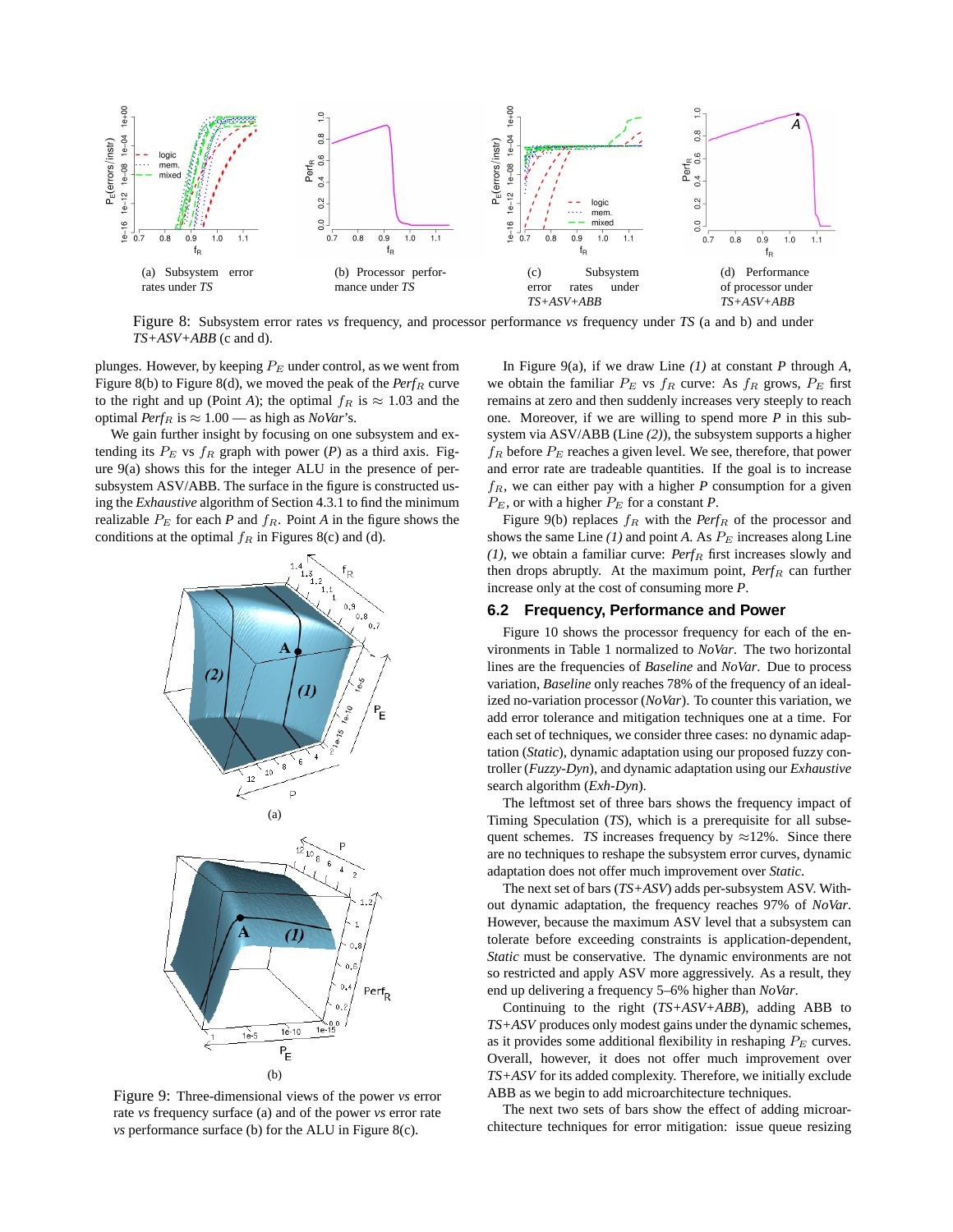

Figure 8: Subsystem error rates *vs* frequency, and processor performance *vs* frequency under *TS* (a and b) and under *TS+ASV+ABB* (c and d).

plunges. However, by keeping  $P_E$  under control, as we went from Figure 8(b) to Figure 8(d), we moved the peak of the  $Perf_R$  curve to the right and up (Point *A*); the optimal  $f_R$  is  $\approx 1.03$  and the optimal *Perf<sub>R</sub>* is  $\approx 1.00$  — as high as *NoVar*'s.

We gain further insight by focusing on one subsystem and extending its  $P_E$  vs  $f_R$  graph with power (*P*) as a third axis. Figure 9(a) shows this for the integer ALU in the presence of persubsystem ASV/ABB. The surface in the figure is constructed using the *Exhaustive* algorithm of Section 4.3.1 to find the minimum realizable  $P_E$  for each *P* and  $f_R$ . Point *A* in the figure shows the



Figure 9: Three-dimensional views of the power *vs* error rate *vs* frequency surface (a) and of the power *vs* error rate *vs* performance surface (b) for the ALU in Figure 8(c).

In Figure 9(a), if we draw Line *(1)* at constant *P* through *A*, we obtain the familiar  $P_E$  vs  $f_R$  curve: As  $f_R$  grows,  $P_E$  first remains at zero and then suddenly increases very steeply to reach one. Moreover, if we are willing to spend more *P* in this subsystem via ASV/ABB (Line *(2)*), the subsystem supports a higher  $f_R$  before  $P_E$  reaches a given level. We see, therefore, that power and error rate are tradeable quantities. If the goal is to increase  $f_R$ , we can either pay with a higher  $P$  consumption for a given  $P_E$ , or with a higher  $P_E$  for a constant *P*.

Figure 9(b) replaces  $f_R$  with the *Perf<sub>R</sub>* of the processor and shows the same Line  $(I)$  and point A. As  $P_E$  increases along Line  $(1)$ , we obtain a familiar curve: *Perf<sub>R</sub>* first increases slowly and then drops abruptly. At the maximum point,  $Perf_R$  can further increase only at the cost of consuming more *P*.

#### **6.2 Frequency, Performance and Power**

Figure 10 shows the processor frequency for each of the environments in Table 1 normalized to *NoVar*. The two horizontal lines are the frequencies of *Baseline* and *NoVar*. Due to process variation, *Baseline* only reaches 78% of the frequency of an idealized no-variation processor (*NoVar*). To counter this variation, we add error tolerance and mitigation techniques one at a time. For each set of techniques, we consider three cases: no dynamic adaptation (*Static*), dynamic adaptation using our proposed fuzzy controller (*Fuzzy-Dyn*), and dynamic adaptation using our *Exhaustive* search algorithm (*Exh-Dyn*).

The leftmost set of three bars shows the frequency impact of Timing Speculation (*TS*), which is a prerequisite for all subsequent schemes. *TS* increases frequency by  $\approx$ 12%. Since there are no techniques to reshape the subsystem error curves, dynamic adaptation does not offer much improvement over *Static*.

The next set of bars (*TS+ASV*) adds per-subsystem ASV. Without dynamic adaptation, the frequency reaches 97% of *NoVar*. However, because the maximum ASV level that a subsystem can tolerate before exceeding constraints is application-dependent, *Static* must be conservative. The dynamic environments are not so restricted and apply ASV more aggressively. As a result, they end up delivering a frequency 5–6% higher than *NoVar*.

Continuing to the right (*TS+ASV+ABB*), adding ABB to *TS+ASV* produces only modest gains under the dynamic schemes, as it provides some additional flexibility in reshaping  $P_E$  curves. Overall, however, it does not offer much improvement over *TS+ASV* for its added complexity. Therefore, we initially exclude ABB as we begin to add microarchitecture techniques.

The next two sets of bars show the effect of adding microarchitecture techniques for error mitigation: issue queue resizing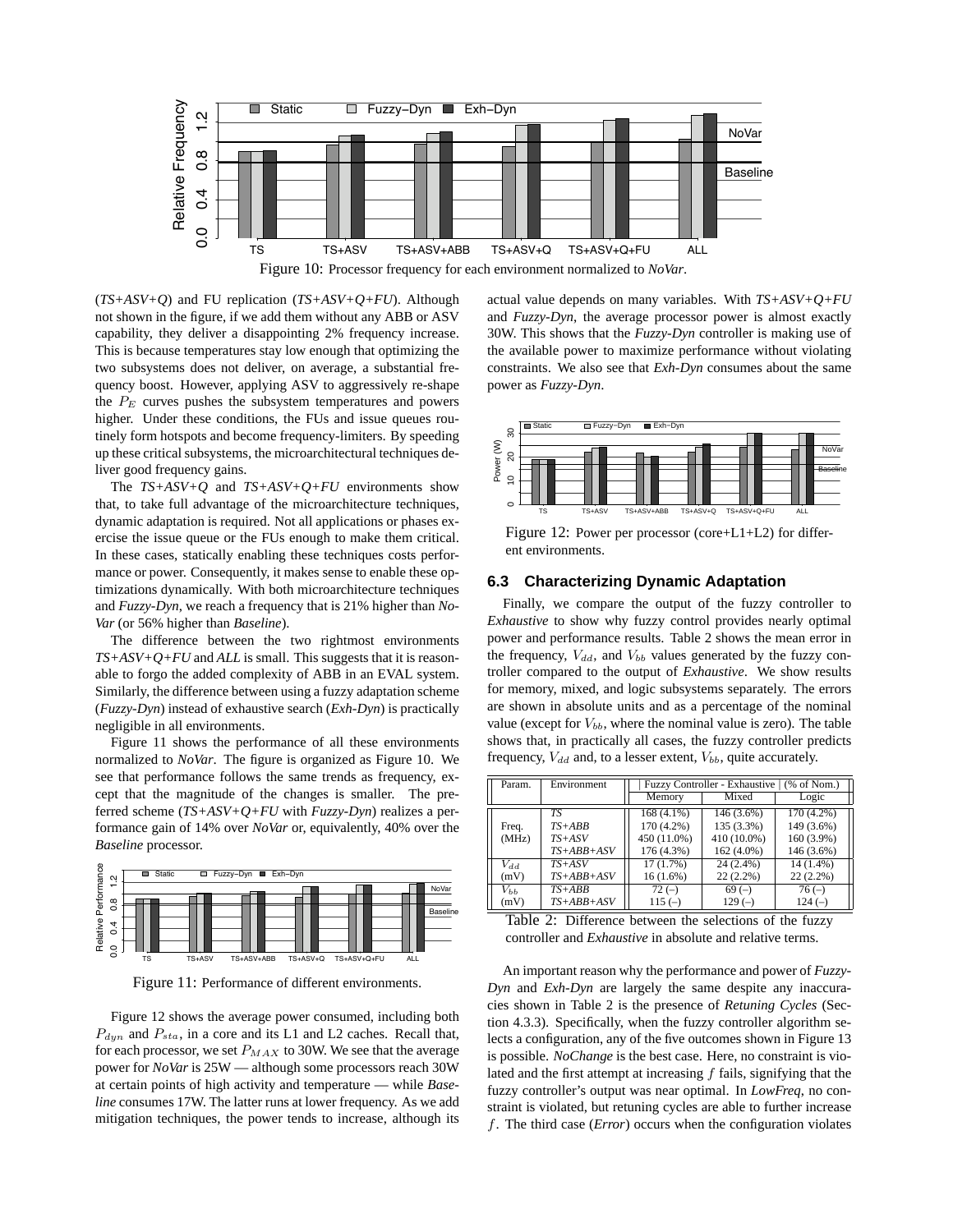

(*TS+ASV+Q*) and FU replication (*TS+ASV+Q+FU*). Although not shown in the figure, if we add them without any ABB or ASV capability, they deliver a disappointing 2% frequency increase. This is because temperatures stay low enough that optimizing the two subsystems does not deliver, on average, a substantial frequency boost. However, applying ASV to aggressively re-shape the  $P_E$  curves pushes the subsystem temperatures and powers higher. Under these conditions, the FUs and issue queues routinely form hotspots and become frequency-limiters. By speeding up these critical subsystems, the microarchitectural techniques deliver good frequency gains.

The *TS+ASV+Q* and *TS+ASV+Q+FU* environments show that, to take full advantage of the microarchitecture techniques, dynamic adaptation is required. Not all applications or phases exercise the issue queue or the FUs enough to make them critical. In these cases, statically enabling these techniques costs performance or power. Consequently, it makes sense to enable these optimizations dynamically. With both microarchitecture techniques and *Fuzzy-Dyn*, we reach a frequency that is 21% higher than *No-Var* (or 56% higher than *Baseline*).

The difference between the two rightmost environments *TS+ASV+Q+FU* and *ALL* is small. This suggests that it is reasonable to forgo the added complexity of ABB in an EVAL system. Similarly, the difference between using a fuzzy adaptation scheme (*Fuzzy-Dyn*) instead of exhaustive search (*Exh-Dyn*) is practically negligible in all environments.

Figure 11 shows the performance of all these environments normalized to *NoVar*. The figure is organized as Figure 10. We see that performance follows the same trends as frequency, except that the magnitude of the changes is smaller. The preferred scheme (*TS+ASV+Q+FU* with *Fuzzy-Dyn*) realizes a performance gain of 14% over *NoVar* or, equivalently, 40% over the *Baseline* processor.



Figure 11: Performance of different environments.

Figure 12 shows the average power consumed, including both  $P_{dyn}$  and  $P_{sta}$ , in a core and its L1 and L2 caches. Recall that, for each processor, we set  $P_{MAX}$  to 30W. We see that the average power for *NoVar* is 25W — although some processors reach 30W at certain points of high activity and temperature — while *Baseline* consumes 17W. The latter runs at lower frequency. As we add mitigation techniques, the power tends to increase, although its

actual value depends on many variables. With *TS+ASV+Q+FU* and *Fuzzy-Dyn*, the average processor power is almost exactly 30W. This shows that the *Fuzzy-Dyn* controller is making use of the available power to maximize performance without violating constraints. We also see that *Exh-Dyn* consumes about the same power as *Fuzzy-Dyn*.



Figure 12: Power per processor (core+L1+L2) for different environments.

#### **6.3 Characterizing Dynamic Adaptation**

Finally, we compare the output of the fuzzy controller to *Exhaustive* to show why fuzzy control provides nearly optimal power and performance results. Table 2 shows the mean error in the frequency,  $V_{dd}$ , and  $V_{bb}$  values generated by the fuzzy controller compared to the output of *Exhaustive*. We show results for memory, mixed, and logic subsystems separately. The errors are shown in absolute units and as a percentage of the nominal value (except for  $V_{bb}$ , where the nominal value is zero). The table shows that, in practically all cases, the fuzzy controller predicts frequency,  $V_{dd}$  and, to a lesser extent,  $V_{bb}$ , quite accurately.

| Param.   | Environment  | Fuzzy Controller - Exhaustive   (% of Nom.) |             |             |  |
|----------|--------------|---------------------------------------------|-------------|-------------|--|
|          |              | Memory                                      | Mixed       | Logic       |  |
|          | TS           | $168(4.1\%)$                                | 146 (3.6%)  | 170 (4.2%)  |  |
| Freq.    | $TS+ABB$     | 170 (4.2%)                                  | 135 (3.3%)  | 149 (3.6%)  |  |
| (MHz)    | $TS+ASV$     | 450 (11.0%)                                 | 410 (10.0%) | 160 (3.9%)  |  |
|          | $TS+ABB+ASV$ | 176 (4.3%)                                  | 162 (4.0%)  | 146 (3.6%)  |  |
| $V_{dd}$ | $TS+ASV$     | 17(1.7%)                                    | 24 (2.4%)   | 14 (1.4%)   |  |
| (mV)     | $TS+ABB+ASV$ | $16(1.6\%)$                                 | $22(2.2\%)$ | $22(2.2\%)$ |  |
| $V_{bb}$ | $TS+ABB$     | $72(-)$                                     | $69(-)$     | $76(-)$     |  |
| (mV)     | $TS+ABB+ASV$ | $115(-)$                                    | $129(-)$    | $124(-)$    |  |

Table 2: Difference between the selections of the fuzzy controller and *Exhaustive* in absolute and relative terms.

An important reason why the performance and power of *Fuzzy-Dyn* and *Exh-Dyn* are largely the same despite any inaccuracies shown in Table 2 is the presence of *Retuning Cycles* (Section 4.3.3). Specifically, when the fuzzy controller algorithm selects a configuration, any of the five outcomes shown in Figure 13 is possible. *NoChange* is the best case. Here, no constraint is violated and the first attempt at increasing  $f$  fails, signifying that the fuzzy controller's output was near optimal. In *LowFreq*, no constraint is violated, but retuning cycles are able to further increase f. The third case (*Error*) occurs when the configuration violates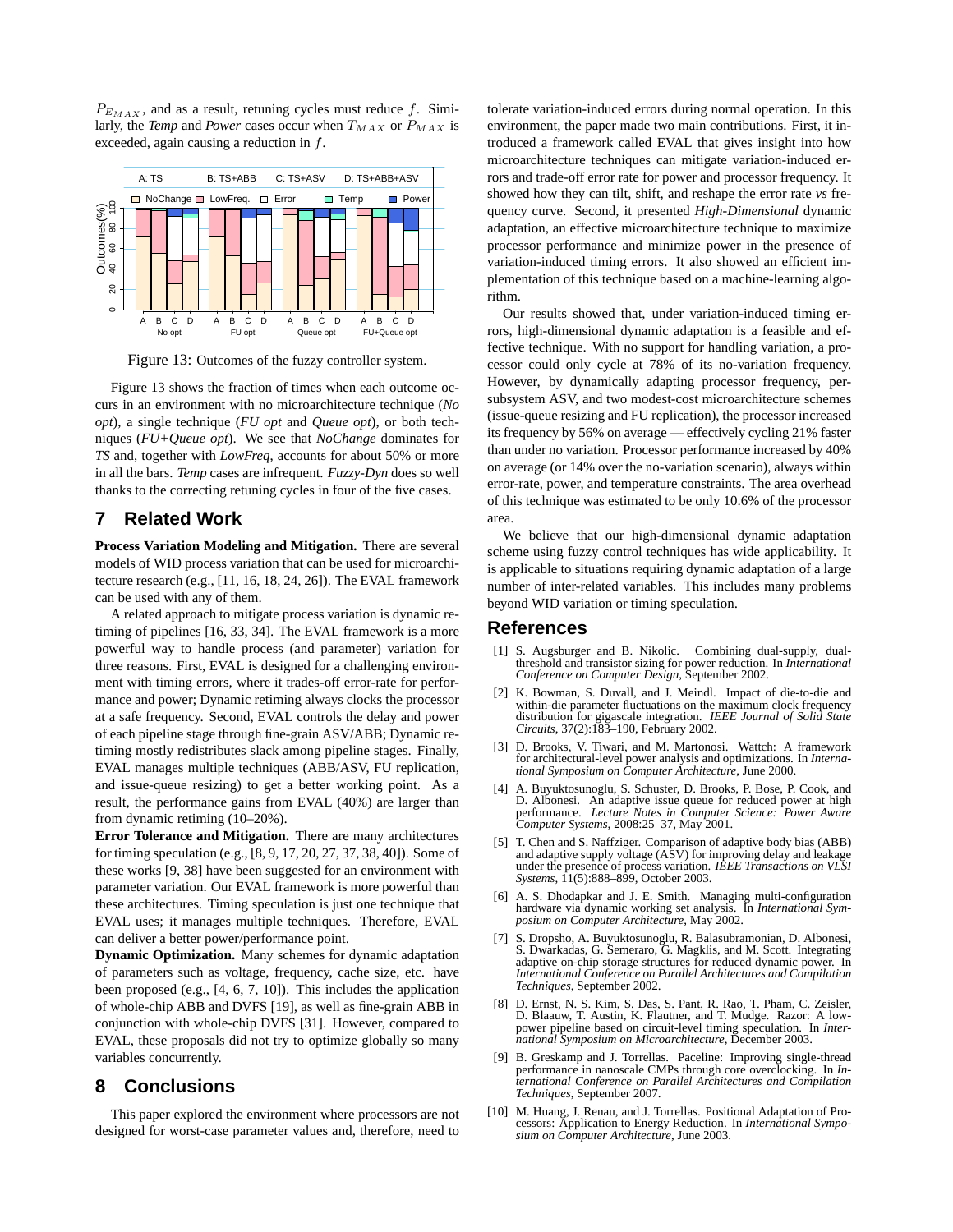$P_{E_{MAX}}$ , and as a result, retuning cycles must reduce f. Similarly, the *Temp* and *Power* cases occur when  $T_{MAX}$  or  $P_{MAX}$  is exceeded, again causing a reduction in  $f$ .



Figure 13: Outcomes of the fuzzy controller system.

Figure 13 shows the fraction of times when each outcome occurs in an environment with no microarchitecture technique (*No opt*), a single technique (*FU opt* and *Queue opt*), or both techniques (*FU+Queue opt*). We see that *NoChange* dominates for *TS* and, together with *LowFreq*, accounts for about 50% or more in all the bars. *Temp* cases are infrequent. *Fuzzy-Dyn* does so well thanks to the correcting retuning cycles in four of the five cases.

## **7 Related Work**

**Process Variation Modeling and Mitigation.** There are several models of WID process variation that can be used for microarchitecture research (e.g., [11, 16, 18, 24, 26]). The EVAL framework can be used with any of them.

A related approach to mitigate process variation is dynamic retiming of pipelines [16, 33, 34]. The EVAL framework is a more powerful way to handle process (and parameter) variation for three reasons. First, EVAL is designed for a challenging environment with timing errors, where it trades-off error-rate for performance and power; Dynamic retiming always clocks the processor at a safe frequency. Second, EVAL controls the delay and power of each pipeline stage through fine-grain ASV/ABB; Dynamic retiming mostly redistributes slack among pipeline stages. Finally, EVAL manages multiple techniques (ABB/ASV, FU replication, and issue-queue resizing) to get a better working point. As a result, the performance gains from EVAL (40%) are larger than from dynamic retiming (10–20%).

**Error Tolerance and Mitigation.** There are many architectures for timing speculation (e.g., [8, 9, 17, 20, 27, 37, 38, 40]). Some of these works [9, 38] have been suggested for an environment with parameter variation. Our EVAL framework is more powerful than these architectures. Timing speculation is just one technique that EVAL uses; it manages multiple techniques. Therefore, EVAL can deliver a better power/performance point.

**Dynamic Optimization.** Many schemes for dynamic adaptation of parameters such as voltage, frequency, cache size, etc. have been proposed (e.g., [4, 6, 7, 10]). This includes the application of whole-chip ABB and DVFS [19], as well as fine-grain ABB in conjunction with whole-chip DVFS [31]. However, compared to EVAL, these proposals did not try to optimize globally so many variables concurrently.

## **8 Conclusions**

This paper explored the environment where processors are not designed for worst-case parameter values and, therefore, need to

tolerate variation-induced errors during normal operation. In this environment, the paper made two main contributions. First, it introduced a framework called EVAL that gives insight into how microarchitecture techniques can mitigate variation-induced errors and trade-off error rate for power and processor frequency. It showed how they can tilt, shift, and reshape the error rate *vs* frequency curve. Second, it presented *High-Dimensional* dynamic adaptation, an effective microarchitecture technique to maximize processor performance and minimize power in the presence of variation-induced timing errors. It also showed an efficient implementation of this technique based on a machine-learning algorithm.

Our results showed that, under variation-induced timing errors, high-dimensional dynamic adaptation is a feasible and effective technique. With no support for handling variation, a processor could only cycle at 78% of its no-variation frequency. However, by dynamically adapting processor frequency, persubsystem ASV, and two modest-cost microarchitecture schemes (issue-queue resizing and FU replication), the processor increased its frequency by 56% on average — effectively cycling 21% faster than under no variation. Processor performance increased by 40% on average (or 14% over the no-variation scenario), always within error-rate, power, and temperature constraints. The area overhead of this technique was estimated to be only 10.6% of the processor area.

We believe that our high-dimensional dynamic adaptation scheme using fuzzy control techniques has wide applicability. It is applicable to situations requiring dynamic adaptation of a large number of inter-related variables. This includes many problems beyond WID variation or timing speculation.

#### **References**

- [1] S. Augsburger and B. Nikolic. Combining dual-supply, dualthreshold and transistor sizing for power reduction. In *International Conference on Computer Design*, September 2002.
- K. Bowman, S. Duvall, and J. Meindl. Impact of die-to-die and within-die parameter fluctuations on the maximum clock frequency distribution for gigascale integration. *IEEE Journal of Solid State Circuits*, 37(2):183–190, February 2002.
- [3] D. Brooks, V. Tiwari, and M. Martonosi. Wattch: A framework for architectural-level power analysis and optimizations. In *International Symposium on Computer Architecture*, June 2000.
- [4] A. Buyuktosunoglu, S. Schuster, D. Brooks, P. Bose, P. Cook, and D. Albonesi. An adaptive issue queue for reduced power at high performance. *Lecture Notes in Computer Science: Power Aware Computer Systems*, 2008:25–37, May 2001.
- [5] T. Chen and S. Naffziger. Comparison of adaptive body bias (ABB) and adaptive supply voltage (ASV) for improving delay and leakage under the presence of process variation. *IEEE Transactions on VLSI Systems*,  $11(5):888-899$ , October 2003.
- [6] A. S. Dhodapkar and J. E. Smith. Managing multi-configuration hardware via dynamic working set analysis. In *International Symposium on Computer Architecture*, May 2002.
- [7] S. Dropsho, A. Buyuktosunoglu, R. Balasubramonian, D. Albonesi, S. Dwarkadas, G. Semeraro, G. Magklis, and M. Scott. Integrating adaptive on-chip storage structures for reduced dynamic power. In *International Conference on Parallel Architectures and Compilation Techniques*, September 2002.
- [8] D. Ernst, N. S. Kim, S. Das, S. Pant, R. Rao, T. Pham, C. Zeisler, D. Blaauw, T. Austin, K. Flautner, and T. Mudge. Razor: A lowpower pipeline based on circuit-level timing speculation. In *International Symposium on Microarchitecture*, December 2003.
- [9] B. Greskamp and J. Torrellas. Paceline: Improving single-thread performance in nanoscale CMPs through core overclocking. In *International Conference on Parallel Architectures and Compilation Techniques*, September 2007.
- [10] M. Huang, J. Renau, and J. Torrellas. Positional Adaptation of Processors: Application to Energy Reduction. In *International Symposium on Computer Architecture*, June 2003.